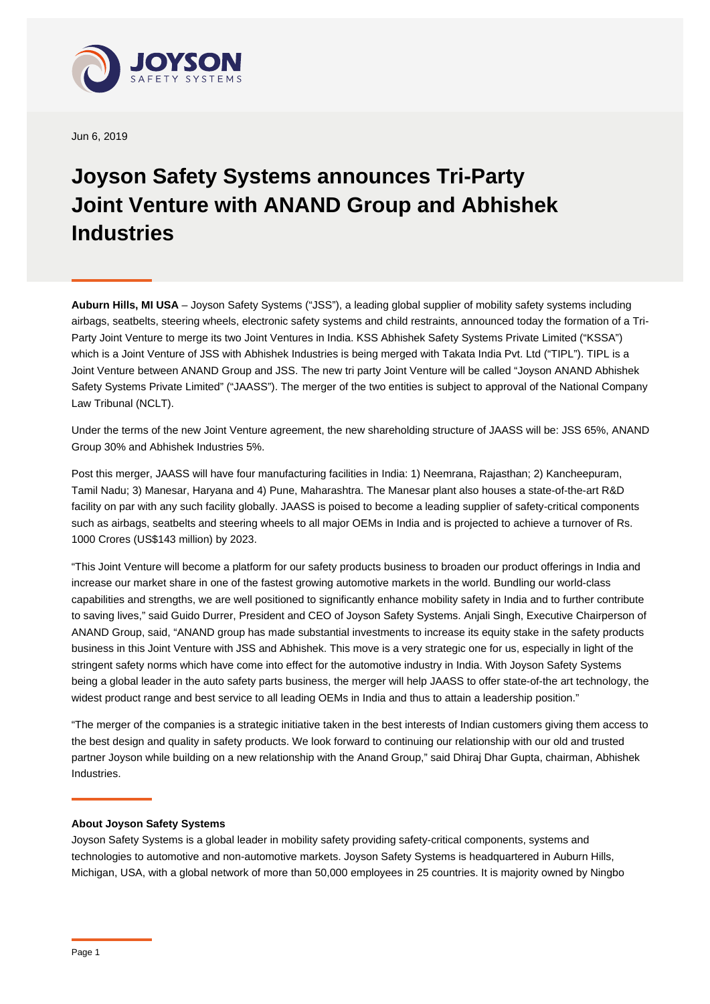

Jun 6, 2019

## **Joyson Safety Systems announces Tri-Party Joint Venture with ANAND Group and Abhishek Industries**

**Auburn Hills, MI USA** – Joyson Safety Systems ("JSS"), a leading global supplier of mobility safety systems including airbags, seatbelts, steering wheels, electronic safety systems and child restraints, announced today the formation of a Tri-Party Joint Venture to merge its two Joint Ventures in India. KSS Abhishek Safety Systems Private Limited ("KSSA") which is a Joint Venture of JSS with Abhishek Industries is being merged with Takata India Pvt. Ltd ("TIPL"). TIPL is a Joint Venture between ANAND Group and JSS. The new tri party Joint Venture will be called "Joyson ANAND Abhishek Safety Systems Private Limited" ("JAASS"). The merger of the two entities is subject to approval of the National Company Law Tribunal (NCLT).

Under the terms of the new Joint Venture agreement, the new shareholding structure of JAASS will be: JSS 65%, ANAND Group 30% and Abhishek Industries 5%.

Post this merger, JAASS will have four manufacturing facilities in India: 1) Neemrana, Rajasthan; 2) Kancheepuram, Tamil Nadu; 3) Manesar, Haryana and 4) Pune, Maharashtra. The Manesar plant also houses a state-of-the-art R&D facility on par with any such facility globally. JAASS is poised to become a leading supplier of safety-critical components such as airbags, seatbelts and steering wheels to all major OEMs in India and is projected to achieve a turnover of Rs. 1000 Crores (US\$143 million) by 2023.

"This Joint Venture will become a platform for our safety products business to broaden our product offerings in India and increase our market share in one of the fastest growing automotive markets in the world. Bundling our world-class capabilities and strengths, we are well positioned to significantly enhance mobility safety in India and to further contribute to saving lives," said Guido Durrer, President and CEO of Joyson Safety Systems. Anjali Singh, Executive Chairperson of ANAND Group, said, "ANAND group has made substantial investments to increase its equity stake in the safety products business in this Joint Venture with JSS and Abhishek. This move is a very strategic one for us, especially in light of the stringent safety norms which have come into effect for the automotive industry in India. With Joyson Safety Systems being a global leader in the auto safety parts business, the merger will help JAASS to offer state-of-the art technology, the widest product range and best service to all leading OEMs in India and thus to attain a leadership position."

"The merger of the companies is a strategic initiative taken in the best interests of Indian customers giving them access to the best design and quality in safety products. We look forward to continuing our relationship with our old and trusted partner Joyson while building on a new relationship with the Anand Group," said Dhiraj Dhar Gupta, chairman, Abhishek Industries.

## **About Joyson Safety Systems**

Joyson Safety Systems is a global leader in mobility safety providing safety-critical components, systems and technologies to automotive and non-automotive markets. Joyson Safety Systems is headquartered in Auburn Hills, Michigan, USA, with a global network of more than 50,000 employees in 25 countries. It is majority owned by Ningbo